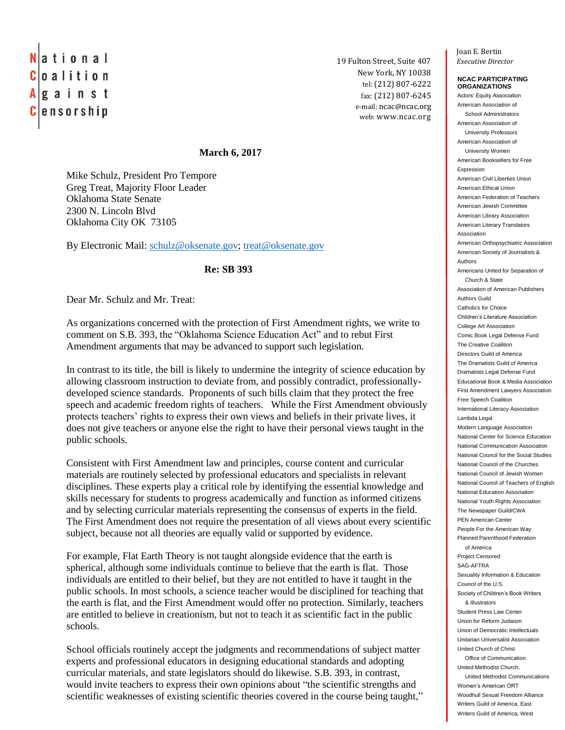## National Coalition  $A$  g a i n s t **Censorship**

19 Fulton Street, Suite 407 *Executive Director* New York, NY 10038 tel: (212) 807-6222 fax: (212) 807-6245 e-mail: ncac@ncac.org web: www.ncac.org

## **March 6, 2017**

Mike Schulz, President Pro Tempore Greg Treat, Majority Floor Leader Oklahoma State Senate 2300 N. Lincoln Blvd Oklahoma City OK 73105

By Electronic Mail: [schulz@oksenate.gov;](mailto:schulz@oksenate.gov) [treat@oksenate.gov](mailto:treat@oksenate.gov)

## **Re: SB 393**

Dear Mr. Schulz and Mr. Treat:

As organizations concerned with the protection of First Amendment rights, we write to comment on S.B. 393, the "Oklahoma Science Education Act" and to rebut First Amendment arguments that may be advanced to support such legislation.

In contrast to its title, the bill is likely to undermine the integrity of science education by allowing classroom instruction to deviate from, and possibly contradict, professionallydeveloped science standards. Proponents of such bills claim that they protect the free speech and academic freedom rights of teachers. While the First Amendment obviously protects teachers' rights to express their own views and beliefs in their private lives, it does not give teachers or anyone else the right to have their personal views taught in the public schools.

Consistent with First Amendment law and principles, course content and curricular materials are routinely selected by professional educators and specialists in relevant disciplines. These experts play a critical role by identifying the essential knowledge and skills necessary for students to progress academically and function as informed citizens and by selecting curricular materials representing the consensus of experts in the field. The First Amendment does not require the presentation of all views about every scientific subject, because not all theories are equally valid or supported by evidence.

For example, Flat Earth Theory is not taught alongside evidence that the earth is spherical, although some individuals continue to believe that the earth is flat. Those individuals are entitled to their belief, but they are not entitled to have it taught in the public schools. In most schools, a science teacher would be disciplined for teaching that the earth is flat, and the First Amendment would offer no protection. Similarly, teachers are entitled to believe in creationism, but not to teach it as scientific fact in the public schools.

School officials routinely accept the judgments and recommendations of subject matter experts and professional educators in designing educational standards and adopting curricular materials, and state legislators should do likewise. S.B. 393, in contrast, would invite teachers to express their own opinions about "the scientific strengths and scientific weaknesses of existing scientific theories covered in the course being taught," Joan E. Bertin

## **NCAC PARTICIPATING ORGANIZATIONS**

Actors' Equity Association American Association of School Administrators American Association of University Professors American Association of University Women American Booksellers for Free Expression American Civil Liberties Union American Ethical Union American Federation of Teachers American Jewish Committee American Library Association American Literary Translators Association American Orthopsychiatric Association American Society of Journalists & Authors Americans United for Separation of Church & State Association of American Publishers Authors Guild Catholics for Choice Children's Literature Association College Art Association Comic Book Legal Defense Fund The Creative Coalition Directors Guild of America The Dramatists Guild of America Dramatists Legal Defense Fund Educational Book & Media Association First Amendment Lawyers Association Free Speech Coalition International Literacy Association Lambda Legal Modern Language Association National Center for Science Education National Communication Association National Council for the Social Studies National Council of the Churches National Council of Jewish Women National Council of Teachers of English National Education Association National Youth Rights Association The Newspaper Guild/CWA PEN American Center People For the American Way Planned Parenthood Federation of America Project Censored SAG-AFTRA Sexuality Information & Education Council of the U.S. Society of Children's Book Writers & Illustrators Student Press Law Center Union for Reform Judaism Union of Democratic Intellectuals Unitarian Universalist Association United Church of Christ Office of Communication United Methodist Church, United Methodist Communications Women's American ORT Woodhull Sexual Freedom Alliance Writers Guild of America, East Writers Guild of America, West